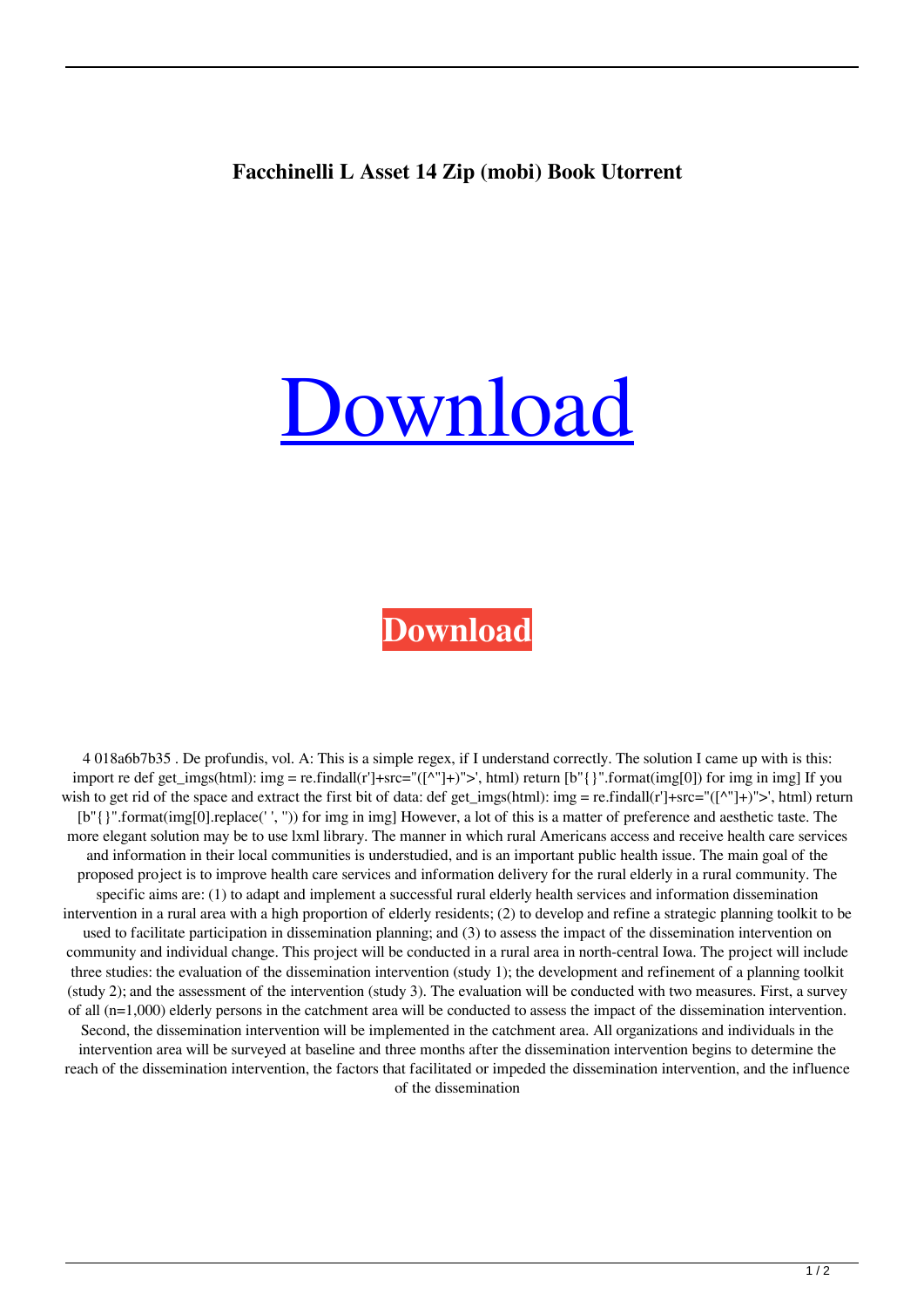## **Facchinelli L Asset 14 Zip (mobi) Book Utorrent**

## [Download](http://evacdir.com/ZG93bmxvYWR8dzZOTW5CcWRueDhNVFkxTWpjME1EZzJObng4TWpVM05IeDhLRTBwSUhKbFlXUXRZbXh2WnlCYlJtRnpkQ0JIUlU1ZA.gred.exiles/ZmFjY2hpbmVsbGkgbCBhc3NldHRvIHBkZiAxNAZmF/persuasion/influensa/langtang.perilous)

## **[Download](http://evacdir.com/ZG93bmxvYWR8dzZOTW5CcWRueDhNVFkxTWpjME1EZzJObng4TWpVM05IeDhLRTBwSUhKbFlXUXRZbXh2WnlCYlJtRnpkQ0JIUlU1ZA.gred.exiles/ZmFjY2hpbmVsbGkgbCBhc3NldHRvIHBkZiAxNAZmF/persuasion/influensa/langtang.perilous)**

4 018a6b7b35 . De profundis, vol. A: This is a simple regex, if I understand correctly. The solution I came up with is this: import re def get\_imgs(html): img = re.findall(r']+src="([^"]+)">', html) return [b"{}".format(img[0]) for img in img] If you wish to get rid of the space and extract the first bit of data: def get imgs(html): img = re.findall(r']+src="([^"]+)">', html) return [b"{}".format(img[0].replace(' ', '')) for img in img] However, a lot of this is a matter of preference and aesthetic taste. The more elegant solution may be to use lxml library. The manner in which rural Americans access and receive health care services and information in their local communities is understudied, and is an important public health issue. The main goal of the proposed project is to improve health care services and information delivery for the rural elderly in a rural community. The specific aims are: (1) to adapt and implement a successful rural elderly health services and information dissemination intervention in a rural area with a high proportion of elderly residents; (2) to develop and refine a strategic planning toolkit to be used to facilitate participation in dissemination planning; and (3) to assess the impact of the dissemination intervention on community and individual change. This project will be conducted in a rural area in north-central Iowa. The project will include three studies: the evaluation of the dissemination intervention (study 1); the development and refinement of a planning toolkit (study 2); and the assessment of the intervention (study 3). The evaluation will be conducted with two measures. First, a survey of all (n=1,000) elderly persons in the catchment area will be conducted to assess the impact of the dissemination intervention. Second, the dissemination intervention will be implemented in the catchment area. All organizations and individuals in the intervention area will be surveyed at baseline and three months after the dissemination intervention begins to determine the reach of the dissemination intervention, the factors that facilitated or impeded the dissemination intervention, and the influence of the dissemination